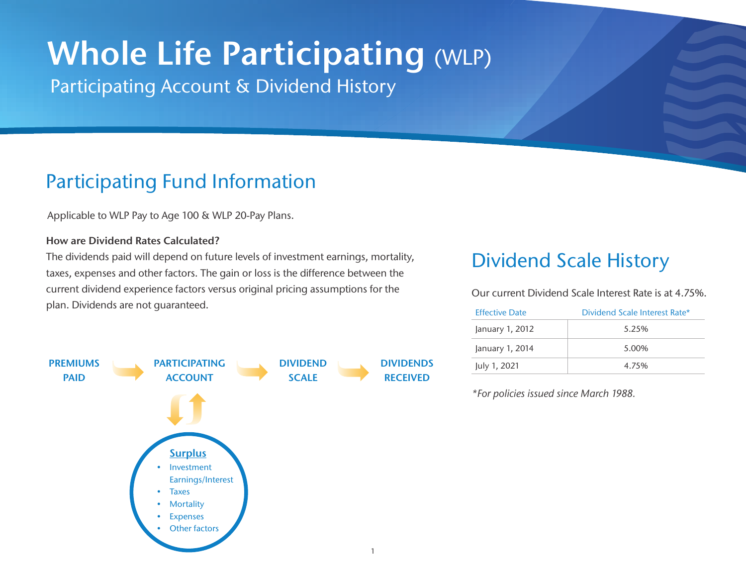# Whole Life Participating (WLP)

Participating Account & Dividend History

### Participating Fund Information

Applicable to WLP Pay to Age 100 & WLP 20-Pay Plans.

#### How are Dividend Rates Calculated?

The dividends paid will depend on future levels of investment earnings, mortality, taxes, expenses and other factors. The gain or loss is the difference between the current dividend experience factors versus original pricing assumptions for the plan. Dividends are not guaranteed.



### Dividend Scale History

Our current Dividend Scale Interest Rate is at 4.75%.

| <b>Effective Date</b> | Dividend Scale Interest Rate* |
|-----------------------|-------------------------------|
| January 1, 2012       | 5.25%                         |
| January 1, 2014       | 5.00%                         |
| July 1, 2021          | 4.75%                         |

\*For policies issued since March 1988.